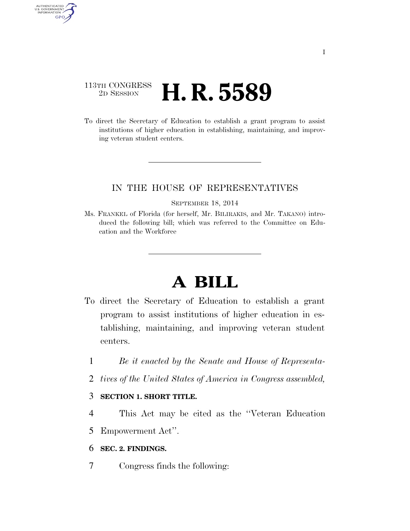### 113TH CONGRESS <sup>2D SESSION</sup> **H. R. 5589**

AUTHENTICATED<br>U.S. GOVERNMENT<br>INFORMATION GPO

> To direct the Secretary of Education to establish a grant program to assist institutions of higher education in establishing, maintaining, and improving veteran student centers.

### IN THE HOUSE OF REPRESENTATIVES

#### SEPTEMBER 18, 2014

Ms. FRANKEL of Florida (for herself, Mr. BILIRAKIS, and Mr. TAKANO) introduced the following bill; which was referred to the Committee on Education and the Workforce

# **A BILL**

- To direct the Secretary of Education to establish a grant program to assist institutions of higher education in establishing, maintaining, and improving veteran student centers.
	- 1 *Be it enacted by the Senate and House of Representa-*
	- 2 *tives of the United States of America in Congress assembled,*

### 3 **SECTION 1. SHORT TITLE.**

- 4 This Act may be cited as the ''Veteran Education
- 5 Empowerment Act''.

### 6 **SEC. 2. FINDINGS.**

7 Congress finds the following: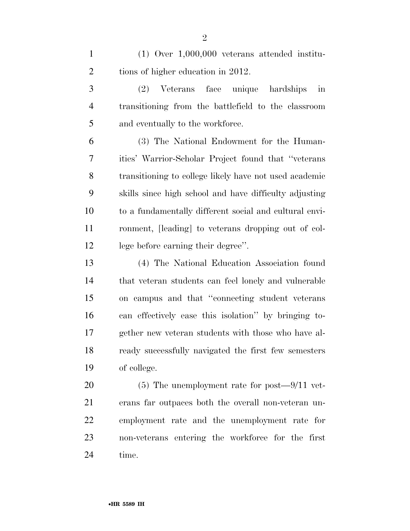(1) Over 1,000,000 veterans attended institu-2 tions of higher education in 2012.

 (2) Veterans face unique hardships in transitioning from the battlefield to the classroom 5 and eventually to the workforce.

 (3) The National Endowment for the Human- ities' Warrior-Scholar Project found that ''veterans transitioning to college likely have not used academic skills since high school and have difficulty adjusting to a fundamentally different social and cultural envi- ronment, [leading] to veterans dropping out of col-lege before earning their degree''.

 (4) The National Education Association found that veteran students can feel lonely and vulnerable on campus and that ''connecting student veterans can effectively ease this isolation'' by bringing to- gether new veteran students with those who have al- ready successfully navigated the first few semesters of college.

 (5) The unemployment rate for post—9/11 vet- erans far outpaces both the overall non-veteran un- employment rate and the unemployment rate for non-veterans entering the workforce for the first time.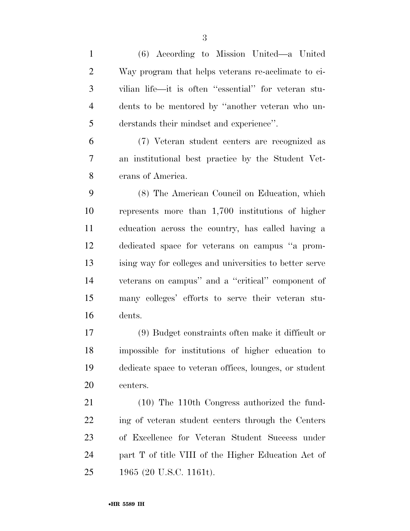(6) According to Mission United—a United Way program that helps veterans re-acclimate to ci- vilian life—it is often ''essential'' for veteran stu- dents to be mentored by ''another veteran who un- derstands their mindset and experience''. (7) Veteran student centers are recognized as an institutional best practice by the Student Vet- erans of America. (8) The American Council on Education, which represents more than 1,700 institutions of higher education across the country, has called having a dedicated space for veterans on campus ''a prom- ising way for colleges and universities to better serve veterans on campus'' and a ''critical'' component of many colleges' efforts to serve their veteran stu- dents. (9) Budget constraints often make it difficult or impossible for institutions of higher education to dedicate space to veteran offices, lounges, or student centers. (10) The 110th Congress authorized the fund- ing of veteran student centers through the Centers of Excellence for Veteran Student Success under part T of title VIII of the Higher Education Act of 1965 (20 U.S.C. 1161t).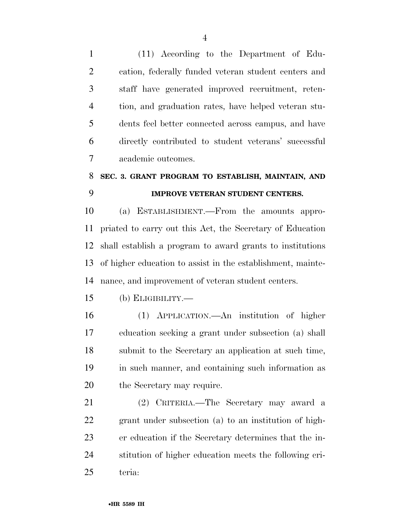(11) According to the Department of Edu- cation, federally funded veteran student centers and staff have generated improved recruitment, reten- tion, and graduation rates, have helped veteran stu- dents feel better connected across campus, and have directly contributed to student veterans' successful academic outcomes.

## **SEC. 3. GRANT PROGRAM TO ESTABLISH, MAINTAIN, AND IMPROVE VETERAN STUDENT CENTERS.**

 (a) ESTABLISHMENT.—From the amounts appro- priated to carry out this Act, the Secretary of Education shall establish a program to award grants to institutions of higher education to assist in the establishment, mainte-nance, and improvement of veteran student centers.

(b) ELIGIBILITY.—

 (1) APPLICATION.—An institution of higher education seeking a grant under subsection (a) shall submit to the Secretary an application at such time, in such manner, and containing such information as the Secretary may require.

 (2) CRITERIA.—The Secretary may award a grant under subsection (a) to an institution of high- er education if the Secretary determines that the in- stitution of higher education meets the following cri-teria: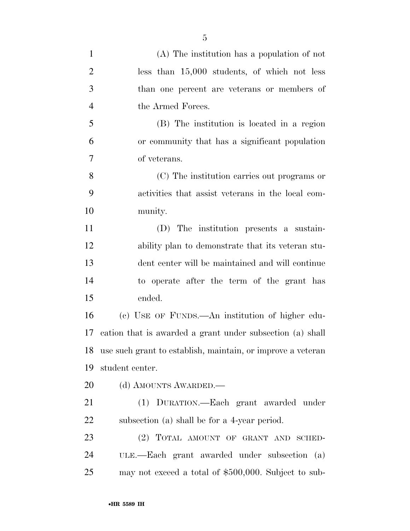| $\mathbf{1}$   | $(A)$ The institution has a population of not               |
|----------------|-------------------------------------------------------------|
| $\overline{2}$ | less than 15,000 students, of which not less                |
| 3              | than one percent are veterans or members of                 |
| $\overline{4}$ | the Armed Forces.                                           |
| 5              | (B) The institution is located in a region                  |
| 6              | or community that has a significant population              |
| 7              | of veterans.                                                |
| 8              | (C) The institution carries out programs or                 |
| 9              | activities that assist veterans in the local com-           |
| 10             | munity.                                                     |
| 11             | (D) The institution presents a sustain-                     |
| 12             | ability plan to demonstrate that its veteran stu-           |
| 13             | dent center will be maintained and will continue            |
| 14             | to operate after the term of the grant has                  |
| 15             | ended.                                                      |
| 16             | (c) USE OF FUNDS.—An institution of higher edu-             |
| 17             | cation that is awarded a grant under subsection (a) shall   |
| 18             | use such grant to establish, maintain, or improve a veteran |
| 19             | student center.                                             |
| 20             | (d) AMOUNTS AWARDED.—                                       |
| 21             | (1) DURATION.—Each grant awarded under                      |
| 22             | subsection (a) shall be for a 4-year period.                |
| 23             | (2) TOTAL AMOUNT OF GRANT AND SCHED-                        |
| 24             | ULE.—Each grant awarded under subsection (a)                |
| 25             | may not exceed a total of \$500,000. Subject to sub-        |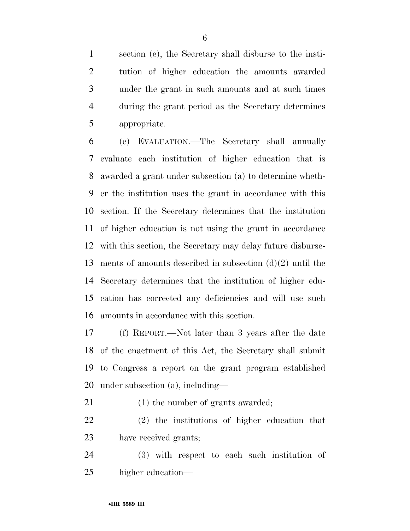section (e), the Secretary shall disburse to the insti- tution of higher education the amounts awarded under the grant in such amounts and at such times during the grant period as the Secretary determines appropriate.

 (e) EVALUATION.—The Secretary shall annually evaluate each institution of higher education that is awarded a grant under subsection (a) to determine wheth- er the institution uses the grant in accordance with this section. If the Secretary determines that the institution of higher education is not using the grant in accordance with this section, the Secretary may delay future disburse- ments of amounts described in subsection (d)(2) until the Secretary determines that the institution of higher edu- cation has corrected any deficiencies and will use such amounts in accordance with this section.

 (f) REPORT.—Not later than 3 years after the date of the enactment of this Act, the Secretary shall submit to Congress a report on the grant program established under subsection (a), including—

21 (1) the number of grants awarded;

 (2) the institutions of higher education that have received grants;

 (3) with respect to each such institution of higher education—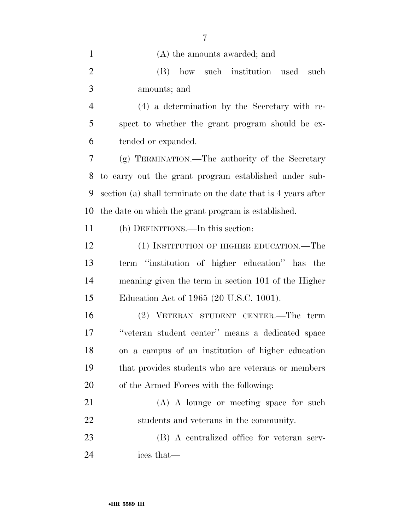| $\mathbf{1}$   | (A) the amounts awarded; and                                  |
|----------------|---------------------------------------------------------------|
| $\overline{2}$ | (B) how such institution<br>used<br>such                      |
| 3              | amounts; and                                                  |
| $\overline{4}$ | (4) a determination by the Secretary with re-                 |
| 5              | spect to whether the grant program should be ex-              |
| 6              | tended or expanded.                                           |
| 7              | (g) TERMINATION.—The authority of the Secretary               |
| 8              | to carry out the grant program established under sub-         |
| 9              | section (a) shall terminate on the date that is 4 years after |
| 10             | the date on which the grant program is established.           |
| 11             | (h) DEFINITIONS.—In this section:                             |
| 12             | (1) INSTITUTION OF HIGHER EDUCATION.—The                      |
| 13             | term "institution of higher education" has the                |
| 14             | meaning given the term in section 101 of the Higher           |
| 15             | Education Act of 1965 (20 U.S.C. 1001).                       |
| 16             | (2) VETERAN STUDENT CENTER.—The term                          |
| 17             | "veteran student center" means a dedicated space              |
| 18             | on a campus of an institution of higher education             |
| 19             | that provides students who are veterans or members            |
| 20             | of the Armed Forces with the following:                       |
| 21             | (A) A lounge or meeting space for such                        |
| 22             | students and veterans in the community.                       |
| 23             | (B) A centralized office for veteran serv-                    |
| 24             | ices that—                                                    |